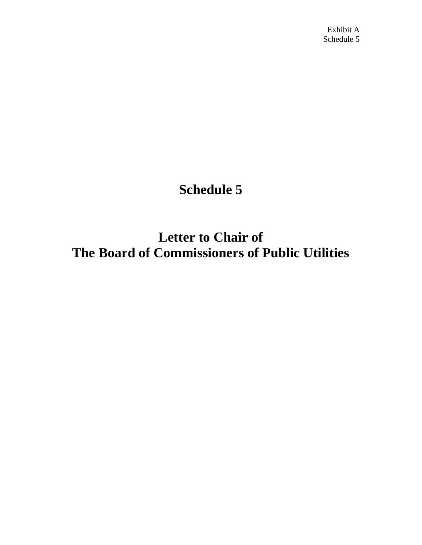Exhibit A Schedule 5

## **Schedule 5**

**Letter to Chair of The Board of Commissioners of Public Utilities**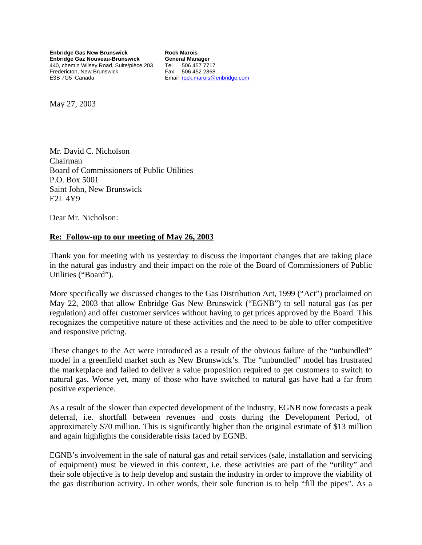**Enbridge Gas New Brunswick Enbridge Gaz Nouveau-Brunswick**  440, chemin Wilsey Road, Suite/pièce 203 Fredericton, New Brunswick E3B 7G5 Canada

**Rock Marois General Manager**  Tel 506 457 7717 Fax 506 452 2868 Email [rock.marois@enbridge.com](mailto:rock.marois@egnb.enbridge.com)

May 27, 2003

Mr. David C. Nicholson Chairman Board of Commissioners of Public Utilities P.O. Box 5001 Saint John, New Brunswick E2L 4Y9

Dear Mr. Nicholson:

## **Re: Follow-up to our meeting of May 26, 2003**

Thank you for meeting with us yesterday to discuss the important changes that are taking place in the natural gas industry and their impact on the role of the Board of Commissioners of Public Utilities ("Board").

More specifically we discussed changes to the Gas Distribution Act, 1999 ("Act") proclaimed on May 22, 2003 that allow Enbridge Gas New Brunswick ("EGNB") to sell natural gas (as per regulation) and offer customer services without having to get prices approved by the Board. This recognizes the competitive nature of these activities and the need to be able to offer competitive and responsive pricing.

These changes to the Act were introduced as a result of the obvious failure of the "unbundled" model in a greenfield market such as New Brunswick's. The "unbundled" model has frustrated the marketplace and failed to deliver a value proposition required to get customers to switch to natural gas. Worse yet, many of those who have switched to natural gas have had a far from positive experience.

As a result of the slower than expected development of the industry, EGNB now forecasts a peak deferral, i.e. shortfall between revenues and costs during the Development Period, of approximately \$70 million. This is significantly higher than the original estimate of \$13 million and again highlights the considerable risks faced by EGNB.

EGNB's involvement in the sale of natural gas and retail services (sale, installation and servicing of equipment) must be viewed in this context, i.e. these activities are part of the "utility" and their sole objective is to help develop and sustain the industry in order to improve the viability of the gas distribution activity. In other words, their sole function is to help "fill the pipes". As a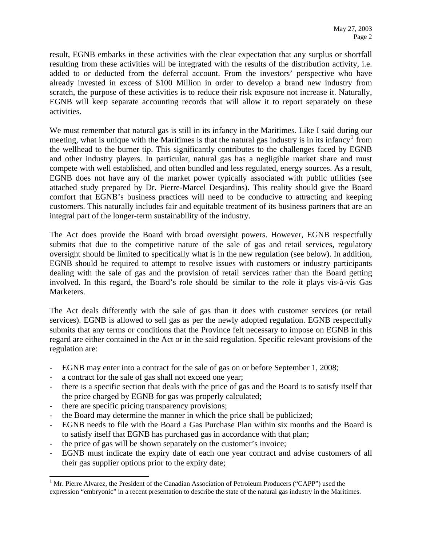result, EGNB embarks in these activities with the clear expectation that any surplus or shortfall resulting from these activities will be integrated with the results of the distribution activity, i.e. added to or deducted from the deferral account. From the investors' perspective who have already invested in excess of \$100 Million in order to develop a brand new industry from scratch, the purpose of these activities is to reduce their risk exposure not increase it. Naturally, EGNB will keep separate accounting records that will allow it to report separately on these activities.

We must remember that natural gas is still in its infancy in the Maritimes. Like I said during our meeting, what is unique with the Maritimes is that the natural gas industry is in its infancy<sup>[1](#page-2-0)</sup> from the wellhead to the burner tip. This significantly contributes to the challenges faced by EGNB and other industry players. In particular, natural gas has a negligible market share and must compete with well established, and often bundled and less regulated, energy sources. As a result, EGNB does not have any of the market power typically associated with public utilities (see attached study prepared by Dr. Pierre-Marcel Desjardins). This reality should give the Board comfort that EGNB's business practices will need to be conducive to attracting and keeping customers. This naturally includes fair and equitable treatment of its business partners that are an integral part of the longer-term sustainability of the industry.

The Act does provide the Board with broad oversight powers. However, EGNB respectfully submits that due to the competitive nature of the sale of gas and retail services, regulatory oversight should be limited to specifically what is in the new regulation (see below). In addition, EGNB should be required to attempt to resolve issues with customers or industry participants dealing with the sale of gas and the provision of retail services rather than the Board getting involved. In this regard, the Board's role should be similar to the role it plays vis-à-vis Gas Marketers.

The Act deals differently with the sale of gas than it does with customer services (or retail services). EGNB is allowed to sell gas as per the newly adopted regulation. EGNB respectfully submits that any terms or conditions that the Province felt necessary to impose on EGNB in this regard are either contained in the Act or in the said regulation. Specific relevant provisions of the regulation are:

- EGNB may enter into a contract for the sale of gas on or before September 1, 2008;
- a contract for the sale of gas shall not exceed one year;
- there is a specific section that deals with the price of gas and the Board is to satisfy itself that the price charged by EGNB for gas was properly calculated;
- there are specific pricing transparency provisions;

 $\overline{a}$ 

- the Board may determine the manner in which the price shall be publicized;
- EGNB needs to file with the Board a Gas Purchase Plan within six months and the Board is to satisfy itself that EGNB has purchased gas in accordance with that plan;
- the price of gas will be shown separately on the customer's invoice;
- EGNB must indicate the expiry date of each one year contract and advise customers of all their gas supplier options prior to the expiry date;

<span id="page-2-0"></span><sup>&</sup>lt;sup>1</sup> Mr. Pierre Alvarez, the President of the Canadian Association of Petroleum Producers ("CAPP") used the expression "embryonic" in a recent presentation to describe the state of the natural gas industry in the Maritimes.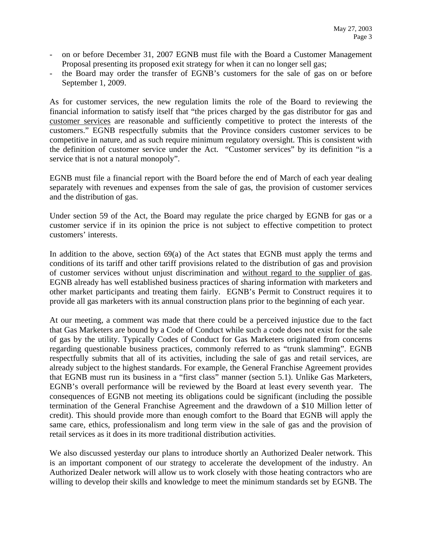- on or before December 31, 2007 EGNB must file with the Board a Customer Management Proposal presenting its proposed exit strategy for when it can no longer sell gas;
- the Board may order the transfer of EGNB's customers for the sale of gas on or before September 1, 2009.

As for customer services, the new regulation limits the role of the Board to reviewing the financial information to satisfy itself that "the prices charged by the gas distributor for gas and customer services are reasonable and sufficiently competitive to protect the interests of the customers." EGNB respectfully submits that the Province considers customer services to be competitive in nature, and as such require minimum regulatory oversight. This is consistent with the definition of customer service under the Act. "Customer services" by its definition "is a service that is not a natural monopoly".

EGNB must file a financial report with the Board before the end of March of each year dealing separately with revenues and expenses from the sale of gas, the provision of customer services and the distribution of gas.

Under section 59 of the Act, the Board may regulate the price charged by EGNB for gas or a customer service if in its opinion the price is not subject to effective competition to protect customers' interests.

In addition to the above, section 69(a) of the Act states that EGNB must apply the terms and conditions of its tariff and other tariff provisions related to the distribution of gas and provision of customer services without unjust discrimination and without regard to the supplier of gas. EGNB already has well established business practices of sharing information with marketers and other market participants and treating them fairly. EGNB's Permit to Construct requires it to provide all gas marketers with its annual construction plans prior to the beginning of each year.

At our meeting, a comment was made that there could be a perceived injustice due to the fact that Gas Marketers are bound by a Code of Conduct while such a code does not exist for the sale of gas by the utility. Typically Codes of Conduct for Gas Marketers originated from concerns regarding questionable business practices, commonly referred to as "trunk slamming". EGNB respectfully submits that all of its activities, including the sale of gas and retail services, are already subject to the highest standards. For example, the General Franchise Agreement provides that EGNB must run its business in a "first class" manner (section 5.1). Unlike Gas Marketers, EGNB's overall performance will be reviewed by the Board at least every seventh year. The consequences of EGNB not meeting its obligations could be significant (including the possible termination of the General Franchise Agreement and the drawdown of a \$10 Million letter of credit). This should provide more than enough comfort to the Board that EGNB will apply the same care, ethics, professionalism and long term view in the sale of gas and the provision of retail services as it does in its more traditional distribution activities.

We also discussed yesterday our plans to introduce shortly an Authorized Dealer network. This is an important component of our strategy to accelerate the development of the industry. An Authorized Dealer network will allow us to work closely with those heating contractors who are willing to develop their skills and knowledge to meet the minimum standards set by EGNB. The